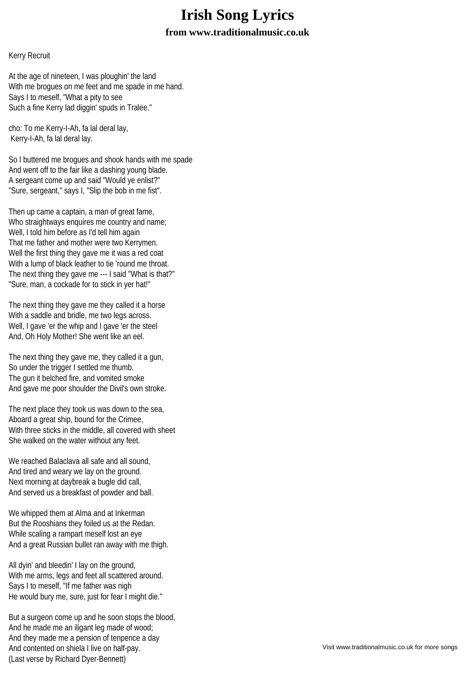## **Irish Song Lyrics from www.traditionalmusic.co.uk**

Kerry Recruit

At the age of nineteen, I was ploughin' the land With me brogues on me feet and me spade in me hand. Says I to meself, "What a pity to see Such a fine Kerry lad diggin' spuds in Tralee."

cho: To me Kerry-I-Ah, fa lal deral lay, Kerry-I-Ah, fa lal deral lay.

So I buttered me brogues and shook hands with me spade And went off to the fair like a dashing young blade. A sergeant come up and said "Would ye enlist?" "Sure, sergeant," says I, "Slip the bob in me fist".

Then up came a captain, a man of great fame, Who straightways enquires me country and name; Well, I told him before as I'd tell him again That me father and mother were two Kerrymen. Well the first thing they gave me it was a red coat With a lump of black leather to tie 'round me throat. The next thing they gave me --- I said "What is that?" "Sure, man, a cockade for to stick in yer hat!"

The next thing they gave me they called it a horse With a saddle and bridle, me two legs across. Well, I gave 'er the whip and I gave 'er the steel And, Oh Holy Mother! She went like an eel.

The next thing they gave me, they called it a gun, So under the trigger I settled me thumb. The gun it belched fire, and vomited smoke And gave me poor shoulder the Divil's own stroke.

The next place they took us was down to the sea, Aboard a great ship, bound for the Crimee, With three sticks in the middle, all covered with sheet She walked on the water without any feet.

We reached Balaclava all safe and all sound, And tired and weary we lay on the ground. Next morning at daybreak a bugle did call, And served us a breakfast of powder and ball.

We whipped them at Alma and at Inkerman But the Rooshians they foiled us at the Redan. While scaling a rampart meself lost an eye And a great Russian bullet ran away with me thigh.

All dyin' and bleedin' I lay on the ground, With me arms, legs and feet all scattered around. Says I to meself, "If me father was nigh He would bury me, sure, just for fear I might die."

But a surgeon come up and he soon stops the blood, And he made me an iligant leg made of wood; And they made me a pension of tenpence a day And contented on shiela I live on half-pay. (Last verse by Richard Dyer-Bennett)